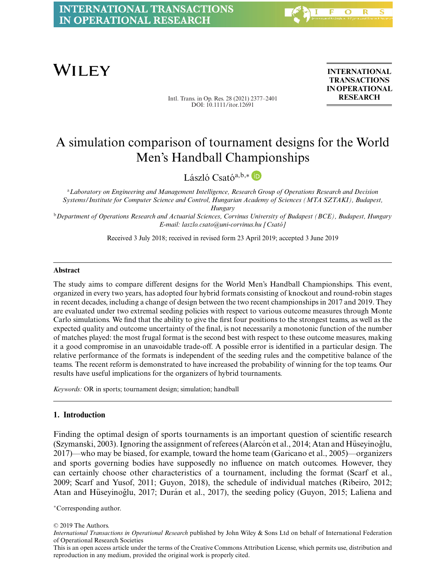**WILEY** 

Intl. Trans. in Op. Res. 28 (2021) 2377–2401 DOI: 10.1111/itor.12691

## **INTERNATIONAL TRANSACTIONS IN OPERATIONAL RESEARCH**

# A simulation comparison of tournament designs for the World Men's Handball Championships

László Csató<sup>a,b,∗</sup> iD

<sup>a</sup>*Laboratory on Engineering and Management Intelligence, Research Group of Operations Research and Decision Systems/Institute for Computer Science and Control, Hungarian Academy of Sciences (MTA SZTAKI), Budapest, Hungary*

<sup>b</sup>*Department of Operations Research and Actuarial Sciences, Corvinus University of Budapest (BCE), Budapest, Hungary E-mail: laszlo.csato@uni-corvinus.hu [Csato]´*

Received 3 July 2018; received in revised form 23 April 2019; accepted 3 June 2019

### **Abstract**

The study aims to compare different designs for the World Men's Handball Championships. This event, organized in every two years, has adopted four hybrid formats consisting of knockout and round-robin stages in recent decades, including a change of design between the two recent championships in 2017 and 2019. They are evaluated under two extremal seeding policies with respect to various outcome measures through Monte Carlo simulations. We find that the ability to give the first four positions to the strongest teams, as well as the expected quality and outcome uncertainty of the final, is not necessarily a monotonic function of the number of matches played: the most frugal format is the second best with respect to these outcome measures, making it a good compromise in an unavoidable trade-off. A possible error is identified in a particular design. The relative performance of the formats is independent of the seeding rules and the competitive balance of the teams. The recent reform is demonstrated to have increased the probability of winning for the top teams. Our results have useful implications for the organizers of hybrid tournaments.

*Keywords:* OR in sports; tournament design; simulation; handball

# **1. Introduction**

Finding the optimal design of sports tournaments is an important question of scientific research (Szymanski, 2003). Ignoring the assignment of referees (Alarcón et al., 2014; Atan and Hüseyinoğlu, 2017)—who may be biased, for example, toward the home team (Garicano et al., 2005)—organizers and sports governing bodies have supposedly no influence on match outcomes. However, they can certainly choose other characteristics of a tournament, including the format (Scarf et al., 2009; Scarf and Yusof, 2011; Guyon, 2018), the schedule of individual matches (Ribeiro, 2012; Atan and Hüseyinoğlu, 2017; Durán et al., 2017), the seeding policy (Guyon, 2015; Laliena and

<sup>∗</sup>Corresponding author.

This is an open access article under the terms of the Creative Commons Attribution License, which permits use, distribution and reproduction in any medium, provided the original work is properly cited.

<sup>C</sup> 2019 The Authors.

*International Transactions in Operational Research* published by John Wiley & Sons Ltd on behalf of International Federation of Operational Research Societies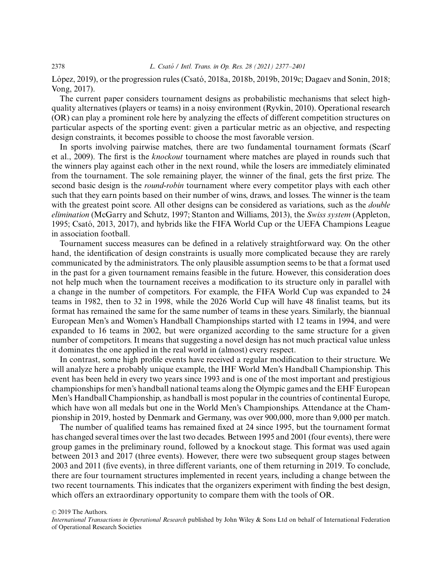López, 2019), or the progression rules (Csató, 2018a, 2018b, 2019b, 2019c; Dagaev and Sonin, 2018; Vong, 2017).

The current paper considers tournament designs as probabilistic mechanisms that select highquality alternatives (players or teams) in a noisy environment (Ryvkin, 2010). Operational research (OR) can play a prominent role here by analyzing the effects of different competition structures on particular aspects of the sporting event: given a particular metric as an objective, and respecting design constraints, it becomes possible to choose the most favorable version.

In sports involving pairwise matches, there are two fundamental tournament formats (Scarf et al., 2009). The first is the *knockout* tournament where matches are played in rounds such that the winners play against each other in the next round, while the losers are immediately eliminated from the tournament. The sole remaining player, the winner of the final, gets the first prize. The second basic design is the *round-robin* tournament where every competitor plays with each other such that they earn points based on their number of wins, draws, and losses. The winner is the team with the greatest point score. All other designs can be considered as variations, such as the *double elimination* (McGarry and Schutz, 1997; Stanton and Williams, 2013), the *Swiss system* (Appleton, 1995; Csató, 2013, 2017), and hybrids like the FIFA World Cup or the UEFA Champions League in association football.

Tournament success measures can be defined in a relatively straightforward way. On the other hand, the identification of design constraints is usually more complicated because they are rarely communicated by the administrators. The only plausible assumption seems to be that a format used in the past for a given tournament remains feasible in the future. However, this consideration does not help much when the tournament receives a modification to its structure only in parallel with a change in the number of competitors. For example, the FIFA World Cup was expanded to 24 teams in 1982, then to 32 in 1998, while the 2026 World Cup will have 48 finalist teams, but its format has remained the same for the same number of teams in these years. Similarly, the biannual European Men's and Women's Handball Championships started with 12 teams in 1994, and were expanded to 16 teams in 2002, but were organized according to the same structure for a given number of competitors. It means that suggesting a novel design has not much practical value unless it dominates the one applied in the real world in (almost) every respect.

In contrast, some high profile events have received a regular modification to their structure. We will analyze here a probably unique example, the IHF World Men's Handball Championship. This event has been held in every two years since 1993 and is one of the most important and prestigious championships for men's handball national teams along the Olympic games and the EHF European Men's Handball Championship, as handball is most popular in the countries of continental Europe, which have won all medals but one in the World Men's Championships. Attendance at the Championship in 2019, hosted by Denmark and Germany, was over 900,000, more than 9,000 per match.

The number of qualified teams has remained fixed at 24 since 1995, but the tournament format has changed several times over the last two decades. Between 1995 and 2001 (four events), there were group games in the preliminary round, followed by a knockout stage. This format was used again between 2013 and 2017 (three events). However, there were two subsequent group stages between 2003 and 2011 (five events), in three different variants, one of them returning in 2019. To conclude, there are four tournament structures implemented in recent years, including a change between the two recent tournaments. This indicates that the organizers experiment with finding the best design, which offers an extraordinary opportunity to compare them with the tools of OR.

*International Transactions in Operational Research* published by John Wiley & Sons Ltd on behalf of International Federation of Operational Research Societies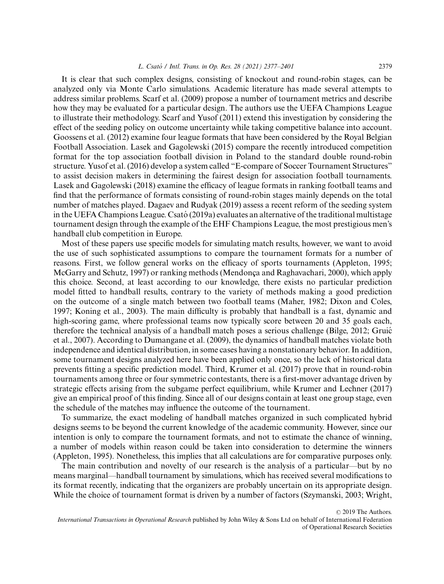It is clear that such complex designs, consisting of knockout and round-robin stages, can be analyzed only via Monte Carlo simulations. Academic literature has made several attempts to address similar problems. Scarf et al. (2009) propose a number of tournament metrics and describe how they may be evaluated for a particular design. The authors use the UEFA Champions League to illustrate their methodology. Scarf and Yusof (2011) extend this investigation by considering the effect of the seeding policy on outcome uncertainty while taking competitive balance into account. Goossens et al. (2012) examine four league formats that have been considered by the Royal Belgian Football Association. Lasek and Gagolewski (2015) compare the recently introduced competition format for the top association football division in Poland to the standard double round-robin structure. Yusof et al. (2016) develop a system called "E-compare of Soccer Tournament Structures" to assist decision makers in determining the fairest design for association football tournaments. Lasek and Gagolewski (2018) examine the efficacy of league formats in ranking football teams and find that the performance of formats consisting of round-robin stages mainly depends on the total number of matches played. Dagaev and Rudyak (2019) assess a recent reform of the seeding system in the UEFA Champions League. Csató (2019a) evaluates an alternative of the traditional multistage tournament design through the example of the EHF Champions League, the most prestigious men's handball club competition in Europe.

Most of these papers use specific models for simulating match results, however, we want to avoid the use of such sophisticated assumptions to compare the tournament formats for a number of reasons. First, we follow general works on the efficacy of sports tournaments (Appleton, 1995; McGarry and Schutz, 1997) or ranking methods (Mendonça and Raghavachari, 2000), which apply this choice. Second, at least according to our knowledge, there exists no particular prediction model fitted to handball results, contrary to the variety of methods making a good prediction on the outcome of a single match between two football teams (Maher, 1982; Dixon and Coles, 1997; Koning et al., 2003). The main difficulty is probably that handball is a fast, dynamic and high-scoring game, where professional teams now typically score between 20 and 35 goals each, therefore the technical analysis of a handball match poses a serious challenge (Bilge, 2012; Gruic´ et al., 2007). According to Dumangane et al. (2009), the dynamics of handball matches violate both independence and identical distribution, in some cases having a nonstationary behavior. In addition, some tournament designs analyzed here have been applied only once, so the lack of historical data prevents fitting a specific prediction model. Third, Krumer et al. (2017) prove that in round-robin tournaments among three or four symmetric contestants, there is a first-mover advantage driven by strategic effects arising from the subgame perfect equilibrium, while Krumer and Lechner (2017) give an empirical proof of this finding. Since all of our designs contain at least one group stage, even the schedule of the matches may influence the outcome of the tournament.

To summarize, the exact modeling of handball matches organized in such complicated hybrid designs seems to be beyond the current knowledge of the academic community. However, since our intention is only to compare the tournament formats, and not to estimate the chance of winning, a number of models within reason could be taken into consideration to determine the winners (Appleton, 1995). Nonetheless, this implies that all calculations are for comparative purposes only.

The main contribution and novelty of our research is the analysis of a particular—but by no means marginal—handball tournament by simulations, which has received several modifications to its format recently, indicating that the organizers are probably uncertain on its appropriate design. While the choice of tournament format is driven by a number of factors (Szymanski, 2003; Wright,

<sup>C</sup> 2019 The Authors. *International Transactions in Operational Research* published by John Wiley & Sons Ltd on behalf of International Federation of Operational Research Societies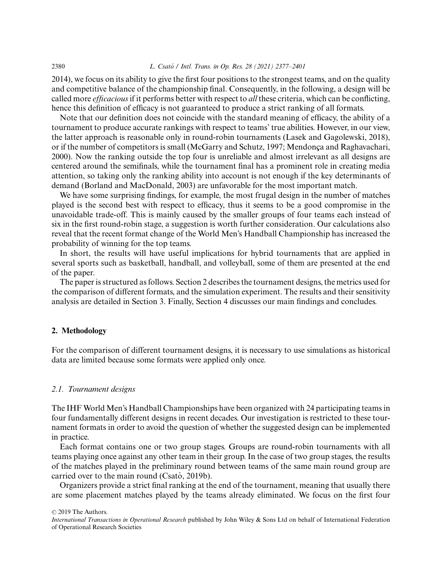2014), we focus on its ability to give the first four positions to the strongest teams, and on the quality and competitive balance of the championship final. Consequently, in the following, a design will be called more *efficacious*if it performs better with respect to *all* these criteria, which can be conflicting, hence this definition of efficacy is not guaranteed to produce a strict ranking of all formats.

Note that our definition does not coincide with the standard meaning of efficacy, the ability of a tournament to produce accurate rankings with respect to teams' true abilities. However, in our view, the latter approach is reasonable only in round-robin tournaments (Lasek and Gagolewski, 2018), or if the number of competitors is small (McGarry and Schutz, 1997; Mendonça and Raghavachari, 2000). Now the ranking outside the top four is unreliable and almost irrelevant as all designs are centered around the semifinals, while the tournament final has a prominent role in creating media attention, so taking only the ranking ability into account is not enough if the key determinants of demand (Borland and MacDonald, 2003) are unfavorable for the most important match.

We have some surprising findings, for example, the most frugal design in the number of matches played is the second best with respect to efficacy, thus it seems to be a good compromise in the unavoidable trade-off. This is mainly caused by the smaller groups of four teams each instead of six in the first round-robin stage, a suggestion is worth further consideration. Our calculations also reveal that the recent format change of the World Men's Handball Championship has increased the probability of winning for the top teams.

In short, the results will have useful implications for hybrid tournaments that are applied in several sports such as basketball, handball, and volleyball, some of them are presented at the end of the paper.

The paper is structured as follows. Section 2 describes the tournament designs, the metrics used for the comparison of different formats, and the simulation experiment. The results and their sensitivity analysis are detailed in Section 3. Finally, Section 4 discusses our main findings and concludes.

# **2. Methodology**

For the comparison of different tournament designs, it is necessary to use simulations as historical data are limited because some formats were applied only once.

#### *2.1. Tournament designs*

The IHF World Men's Handball Championships have been organized with 24 participating teams in four fundamentally different designs in recent decades. Our investigation is restricted to these tournament formats in order to avoid the question of whether the suggested design can be implemented in practice.

Each format contains one or two group stages. Groups are round-robin tournaments with all teams playing once against any other team in their group. In the case of two group stages, the results of the matches played in the preliminary round between teams of the same main round group are carried over to the main round (Csató, 2019b).

Organizers provide a strict final ranking at the end of the tournament, meaning that usually there are some placement matches played by the teams already eliminated. We focus on the first four

*International Transactions in Operational Research* published by John Wiley & Sons Ltd on behalf of International Federation of Operational Research Societies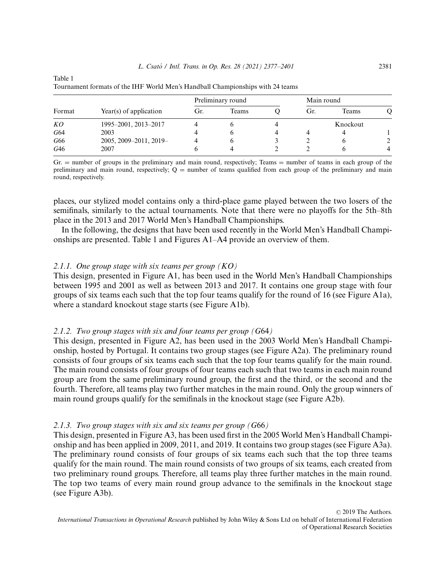|        |                        |     | Preliminary round | Main round |     |              |   |  |
|--------|------------------------|-----|-------------------|------------|-----|--------------|---|--|
| Format | Year(s) of application | Gr. | <b>Teams</b>      |            | Gr. | <b>Teams</b> |   |  |
| KO     | 1995-2001, 2013-2017   |     |                   |            |     | Knockout     |   |  |
| G64    | 2003                   |     |                   |            | 4   |              |   |  |
| G66    | 2005, 2009–2011, 2019– |     |                   |            |     |              |   |  |
| G46    | 2007                   |     |                   |            |     |              | 4 |  |

Table 1 Tournament formats of the IHF World Men's Handball Championships with 24 teams

 $Gr.$  = number of groups in the preliminary and main round, respectively; Teams = number of teams in each group of the preliminary and main round, respectively;  $Q =$  number of teams qualified from each group of the preliminary and main round, respectively.

places, our stylized model contains only a third-place game played between the two losers of the semifinals, similarly to the actual tournaments. Note that there were no playoffs for the 5th–8th place in the 2013 and 2017 World Men's Handball Championships.

In the following, the designs that have been used recently in the World Men's Handball Championships are presented. Table 1 and Figures A1–A4 provide an overview of them.

# *2.1.1. One group stage with six teams per group (KO)*

This design, presented in Figure A1, has been used in the World Men's Handball Championships between 1995 and 2001 as well as between 2013 and 2017. It contains one group stage with four groups of six teams each such that the top four teams qualify for the round of 16 (see Figure A1a), where a standard knockout stage starts (see Figure A1b).

# *2.1.2. Two group stages with six and four teams per group (G*64*)*

This design, presented in Figure A2, has been used in the 2003 World Men's Handball Championship, hosted by Portugal. It contains two group stages (see Figure A2a). The preliminary round consists of four groups of six teams each such that the top four teams qualify for the main round. The main round consists of four groups of four teams each such that two teams in each main round group are from the same preliminary round group, the first and the third, or the second and the fourth. Therefore, all teams play two further matches in the main round. Only the group winners of main round groups qualify for the semifinals in the knockout stage (see Figure A2b).

# *2.1.3. Two group stages with six and six teams per group (G*66*)*

This design, presented in Figure A3, has been used first in the 2005 World Men's Handball Championship and has been applied in 2009, 2011, and 2019. It contains two group stages (see Figure A3a). The preliminary round consists of four groups of six teams each such that the top three teams qualify for the main round. The main round consists of two groups of six teams, each created from two preliminary round groups. Therefore, all teams play three further matches in the main round. The top two teams of every main round group advance to the semifinals in the knockout stage (see Figure A3b).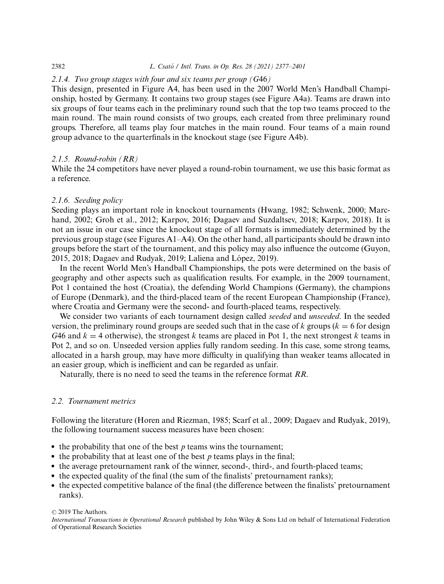# *2.1.4. Two group stages with four and six teams per group (G*46*)*

This design, presented in Figure A4, has been used in the 2007 World Men's Handball Championship, hosted by Germany. It contains two group stages (see Figure A4a). Teams are drawn into six groups of four teams each in the preliminary round such that the top two teams proceed to the main round. The main round consists of two groups, each created from three preliminary round groups. Therefore, all teams play four matches in the main round. Four teams of a main round group advance to the quarterfinals in the knockout stage (see Figure A4b).

# *2.1.5. Round-robin (RR)*

While the 24 competitors have never played a round-robin tournament, we use this basic format as a reference.

## *2.1.6. Seeding policy*

Seeding plays an important role in knockout tournaments (Hwang, 1982; Schwenk, 2000; Marchand, 2002; Groh et al., 2012; Karpov, 2016; Dagaev and Suzdaltsev, 2018; Karpov, 2018). It is not an issue in our case since the knockout stage of all formats is immediately determined by the previous group stage (see Figures A1–A4). On the other hand, all participants should be drawn into groups before the start of the tournament, and this policy may also influence the outcome (Guyon, 2015, 2018; Dagaev and Rudyak, 2019; Laliena and López, 2019).

In the recent World Men's Handball Championships, the pots were determined on the basis of geography and other aspects such as qualification results. For example, in the 2009 tournament, Pot 1 contained the host (Croatia), the defending World Champions (Germany), the champions of Europe (Denmark), and the third-placed team of the recent European Championship (France), where Croatia and Germany were the second- and fourth-placed teams, respectively.

We consider two variants of each tournament design called *seeded* and *unseeded*. In the seeded version, the preliminary round groups are seeded such that in the case of  $k$  groups ( $k = 6$  for design *G*46 and  $k = 4$  otherwise), the strongest *k* teams are placed in Pot 1, the next strongest *k* teams in Pot 2, and so on. Unseeded version applies fully random seeding. In this case, some strong teams, allocated in a harsh group, may have more difficulty in qualifying than weaker teams allocated in an easier group, which is inefficient and can be regarded as unfair.

Naturally, there is no need to seed the teams in the reference format *RR*.

## *2.2. Tournament metrics*

Following the literature (Horen and Riezman, 1985; Scarf et al., 2009; Dagaev and Rudyak, 2019), the following tournament success measures have been chosen:

- the probability that one of the best  $p$  teams wins the tournament;
- the probability that at least one of the best  $p$  teams plays in the final;
- the average pretournament rank of the winner, second-, third-, and fourth-placed teams;
- the expected quality of the final (the sum of the finalists' pretournament ranks);
- the expected competitive balance of the final (the difference between the finalists' pretournament ranks).

<sup>C</sup> 2019 The Authors.

*International Transactions in Operational Research* published by John Wiley & Sons Ltd on behalf of International Federation of Operational Research Societies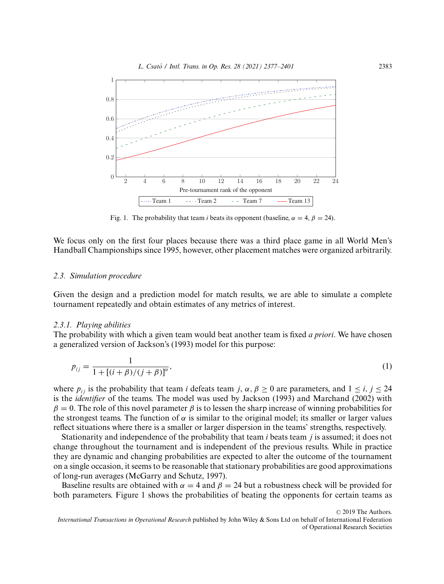

Fig. 1. The probability that team *i* beats its opponent (baseline,  $\alpha = 4$ ,  $\beta = 24$ ).

We focus only on the first four places because there was a third place game in all World Men's Handball Championships since 1995, however, other placement matches were organized arbitrarily.

#### *2.3. Simulation procedure*

Given the design and a prediction model for match results, we are able to simulate a complete tournament repeatedly and obtain estimates of any metrics of interest.

#### *2.3.1. Playing abilities*

The probability with which a given team would beat another team is fixed *a priori*. We have chosen a generalized version of Jackson's (1993) model for this purpose:

$$
p_{ij} = \frac{1}{1 + [(i + \beta)/(j + \beta)]^{\alpha}},\tag{1}
$$

where  $p_{i j}$  is the probability that team *i* defeats team *j*,  $\alpha$ ,  $\beta \ge 0$  are parameters, and  $1 \le i, j \le 24$ is the *identifier* of the teams. The model was used by Jackson (1993) and Marchand (2002) with  $β = 0$ . The role of this novel parameter β is to lessen the sharp increase of winning probabilities for the strongest teams. The function of  $\alpha$  is similar to the original model; its smaller or larger values reflect situations where there is a smaller or larger dispersion in the teams' strengths, respectively.

Stationarity and independence of the probability that team *i* beats team *j* is assumed; it does not change throughout the tournament and is independent of the previous results. While in practice they are dynamic and changing probabilities are expected to alter the outcome of the tournament on a single occasion, it seems to be reasonable that stationary probabilities are good approximations of long-run averages (McGarry and Schutz, 1997).

Baseline results are obtained with  $\alpha = 4$  and  $\beta = 24$  but a robustness check will be provided for both parameters. Figure 1 shows the probabilities of beating the opponents for certain teams as

*International Transactions in Operational Research* published by John Wiley & Sons Ltd on behalf of International Federation of Operational Research Societies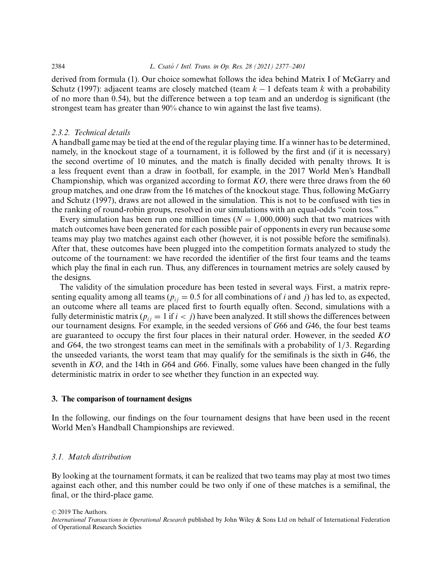derived from formula (1). Our choice somewhat follows the idea behind Matrix I of McGarry and Schutz (1997): adjacent teams are closely matched (team  $k - 1$  defeats team  $k$  with a probability of no more than 0.54), but the difference between a top team and an underdog is significant (the strongest team has greater than 90% chance to win against the last five teams).

### *2.3.2. Technical details*

A handball game may be tied at the end of the regular playing time. If a winner has to be determined, namely, in the knockout stage of a tournament, it is followed by the first and (if it is necessary) the second overtime of 10 minutes, and the match is finally decided with penalty throws. It is a less frequent event than a draw in football, for example, in the 2017 World Men's Handball Championship, which was organized according to format *KO*, there were three draws from the 60 group matches, and one draw from the 16 matches of the knockout stage. Thus, following McGarry and Schutz (1997), draws are not allowed in the simulation. This is not to be confused with ties in the ranking of round-robin groups, resolved in our simulations with an equal-odds "coin toss."

Every simulation has been run one million times  $(N = 1,000,000)$  such that two matrices with match outcomes have been generated for each possible pair of opponents in every run because some teams may play two matches against each other (however, it is not possible before the semifinals). After that, these outcomes have been plugged into the competition formats analyzed to study the outcome of the tournament: we have recorded the identifier of the first four teams and the teams which play the final in each run. Thus, any differences in tournament metrics are solely caused by the designs.

The validity of the simulation procedure has been tested in several ways. First, a matrix representing equality among all teams ( $p_{ij} = 0.5$  for all combinations of *i* and *j*) has led to, as expected, an outcome where all teams are placed first to fourth equally often. Second, simulations with a fully deterministic matrix  $(p_{ij} = 1 \text{ if } i < j)$  have been analyzed. It still shows the differences between our tournament designs. For example, in the seeded versions of *G*66 and *G*46, the four best teams are guaranteed to occupy the first four places in their natural order. However, in the seeded *KO* and *G*64, the two strongest teams can meet in the semifinals with a probability of 1/3. Regarding the unseeded variants, the worst team that may qualify for the semifinals is the sixth in *G*46, the seventh in *KO*, and the 14th in *G*64 and *G*66. Finally, some values have been changed in the fully deterministic matrix in order to see whether they function in an expected way.

#### **3. The comparison of tournament designs**

In the following, our findings on the four tournament designs that have been used in the recent World Men's Handball Championships are reviewed.

### *3.1. Match distribution*

By looking at the tournament formats, it can be realized that two teams may play at most two times against each other, and this number could be two only if one of these matches is a semifinal, the final, or the third-place game.

*International Transactions in Operational Research* published by John Wiley & Sons Ltd on behalf of International Federation of Operational Research Societies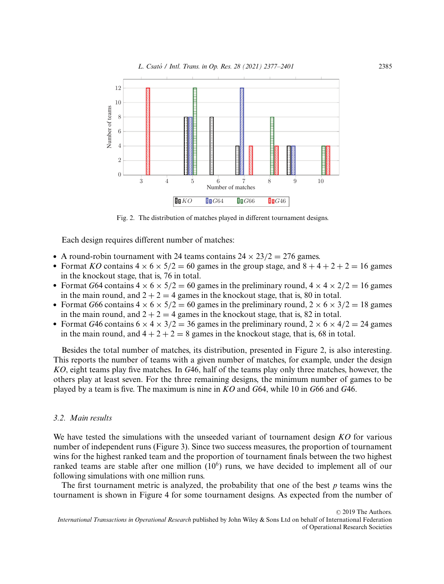

Fig. 2. The distribution of matches played in different tournament designs.

Each design requires different number of matches:

- A round-robin tournament with 24 teams contains  $24 \times 23/2 = 276$  games.
- A round-robin tournament with 24 teams contains  $24 \times 23/2 = 276$  games.<br>Format *KO* contains  $4 \times 6 \times 5/2 = 60$  games in the group stage, and  $8 + 4 + 2 + 2 = 16$  games in the knockout stage, that is, 76 in total.
- Format *G*64 contains  $4 \times 6 \times 5/2 = 60$  games in the preliminary round,  $4 \times 4 \times 2/2 = 16$  games
- in the main round, and  $2 + 2 = 4$  games in the knockout stage, that is, 80 in total.<br>Format *G*66 contains  $4 \times 6 \times 5/2 = 60$  games in the preliminary round,  $2 \times 6 \times 3/2 = 18$  games
- in the main round, and  $2 + 2 = 4$  games in the knockout stage, that is, 82 in total.<br>Format *G*46 contains  $6 \times 4 \times 3/2 = 36$  games in the preliminary round,  $2 \times 6 \times 4/2 = 24$  games in the main round, and  $4 + 2 + 2 = 8$  games in the knockout stage, that is, 68 in total.

Besides the total number of matches, its distribution, presented in Figure 2, is also interesting. This reports the number of teams with a given number of matches, for example, under the design *KO*, eight teams play five matches. In *G*46, half of the teams play only three matches, however, the others play at least seven. For the three remaining designs, the minimum number of games to be played by a team is five. The maximum is nine in *KO* and *G*64, while 10 in *G*66 and *G*46.

# *3.2. Main results*

We have tested the simulations with the unseeded variant of tournament design *KO* for various number of independent runs (Figure 3). Since two success measures, the proportion of tournament wins for the highest ranked team and the proportion of tournament finals between the two highest ranked teams are stable after one million  $(10<sup>6</sup>)$  runs, we have decided to implement all of our following simulations with one million runs.

The first tournament metric is analyzed, the probability that one of the best *p* teams wins the tournament is shown in Figure 4 for some tournament designs. As expected from the number of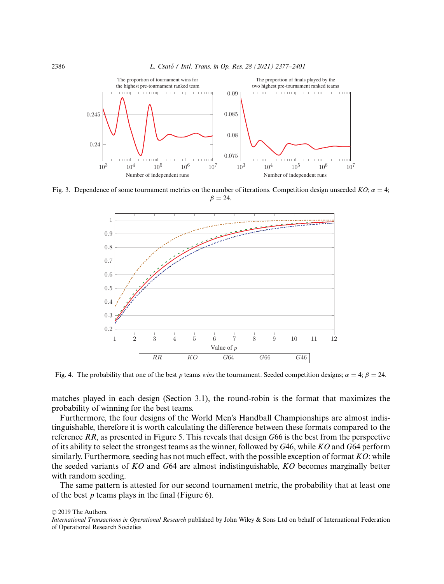

Fig. 3. Dependence of some tournament metrics on the number of iterations. Competition design unseeded  $KO$ ;  $\alpha = 4$ ;  $\beta = 24$ .



Fig. 4. The probability that one of the best *p* teams *wins* the tournament. Seeded competition designs;  $\alpha = 4$ ;  $\beta = 24$ .

matches played in each design (Section 3.1), the round-robin is the format that maximizes the probability of winning for the best teams.

Furthermore, the four designs of the World Men's Handball Championships are almost indistinguishable, therefore it is worth calculating the difference between these formats compared to the reference *RR*, as presented in Figure 5. This reveals that design *G*66 is the best from the perspective of its ability to select the strongest teams as the winner, followed by *G*46, while *KO* and *G*64 perform similarly. Furthermore, seeding has not much effect, with the possible exception of format *KO*: while the seeded variants of *KO* and *G*64 are almost indistinguishable, *KO* becomes marginally better with random seeding.

The same pattern is attested for our second tournament metric, the probability that at least one of the best *p* teams plays in the final (Figure 6).

*International Transactions in Operational Research* published by John Wiley & Sons Ltd on behalf of International Federation of Operational Research Societies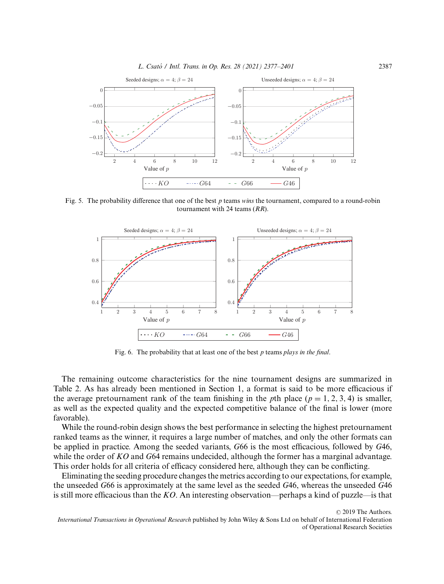

Fig. 5. The probability difference that one of the best *p* teams *wins* the tournament, compared to a round-robin tournament with 24 teams (*RR*).



Fig. 6. The probability that at least one of the best *p* teams *plays in the final*.

The remaining outcome characteristics for the nine tournament designs are summarized in Table 2. As has already been mentioned in Section 1, a format is said to be more efficacious if the average pretournament rank of the team finishing in the *p*th place ( $p = 1, 2, 3, 4$ ) is smaller, as well as the expected quality and the expected competitive balance of the final is lower (more favorable).

While the round-robin design shows the best performance in selecting the highest pretournament ranked teams as the winner, it requires a large number of matches, and only the other formats can be applied in practice. Among the seeded variants, *G*66 is the most efficacious, followed by *G*46, while the order of *KO* and *G*64 remains undecided, although the former has a marginal advantage. This order holds for all criteria of efficacy considered here, although they can be conflicting.

Eliminating the seeding procedure changes the metrics according to our expectations, for example, the unseeded *G*66 is approximately at the same level as the seeded *G*46, whereas the unseeded *G*46 is still more efficacious than the *KO*. An interesting observation—perhaps a kind of puzzle—is that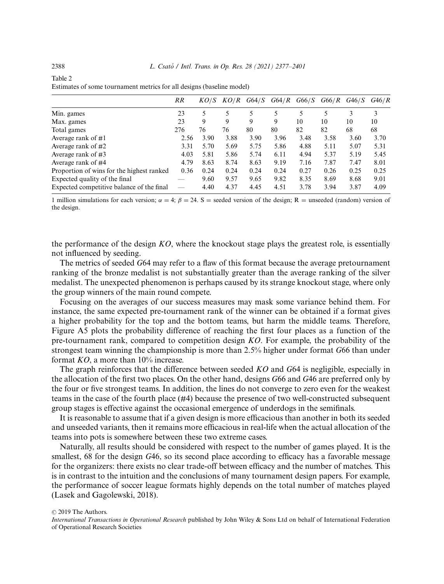|                                           | RR   | KO/S | KO/R | G64/S | G64/R | G66/S | G66/R | G46/S | G46/R |
|-------------------------------------------|------|------|------|-------|-------|-------|-------|-------|-------|
| Min. games                                | 23   | 5    | 5    | 5     | 5     | 5     | 5     | 3     | 3     |
| Max. games                                | 23   | 9    | 9    | 9     | 9     | 10    | 10    | 10    | 10    |
| Total games                               | 276  | 76   | 76   | 80    | 80    | 82    | 82    | 68    | 68    |
| Average rank of $\#1$                     | 2.56 | 3.90 | 3.88 | 3.90  | 3.96  | 3.48  | 3.58  | 3.60  | 3.70  |
| Average rank of $#2$                      | 3.31 | 5.70 | 5.69 | 5.75  | 5.86  | 4.88  | 5.11  | 5.07  | 5.31  |
| Average rank of $#3$                      | 4.03 | 5.81 | 5.86 | 5.74  | 6.11  | 4.94  | 5.37  | 5.19  | 5.45  |
| Average rank of #4                        | 4.79 | 8.63 | 8.74 | 8.63  | 9.19  | 7.16  | 7.87  | 7.47  | 8.01  |
| Proportion of wins for the highest ranked | 0.36 | 0.24 | 0.24 | 0.24  | 0.24  | 0.27  | 0.26  | 0.25  | 0.25  |
| Expected quality of the final             |      | 9.60 | 9.57 | 9.65  | 9.82  | 8.35  | 8.69  | 8.68  | 9.01  |
| Expected competitive balance of the final |      | 4.40 | 4.37 | 4.45  | 4.51  | 3.78  | 3.94  | 3.87  | 4.09  |

1 million simulations for each version;  $\alpha = 4$ ;  $\beta = 24$ . S = seeded version of the design; R = unseeded (random) version of the design.

the performance of the design *KO*, where the knockout stage plays the greatest role, is essentially not influenced by seeding.

The metrics of seeded *G*64 may refer to a flaw of this format because the average pretournament ranking of the bronze medalist is not substantially greater than the average ranking of the silver medalist. The unexpected phenomenon is perhaps caused by its strange knockout stage, where only the group winners of the main round compete.

Focusing on the averages of our success measures may mask some variance behind them. For instance, the same expected pre-tournament rank of the winner can be obtained if a format gives a higher probability for the top and the bottom teams, but harm the middle teams. Therefore, Figure A5 plots the probability difference of reaching the first four places as a function of the pre-tournament rank, compared to competition design *KO*. For example, the probability of the strongest team winning the championship is more than 2.5% higher under format *G*66 than under format *KO*, a more than 10% increase.

The graph reinforces that the difference between seeded *KO* and *G*64 is negligible, especially in the allocation of the first two places. On the other hand, designs *G*66 and *G*46 are preferred only by the four or five strongest teams. In addition, the lines do not converge to zero even for the weakest teams in the case of the fourth place (#4) because the presence of two well-constructed subsequent group stages is effective against the occasional emergence of underdogs in the semifinals.

It is reasonable to assume that if a given design is more efficacious than another in both its seeded and unseeded variants, then it remains more efficacious in real-life when the actual allocation of the teams into pots is somewhere between these two extreme cases.

Naturally, all results should be considered with respect to the number of games played. It is the smallest, 68 for the design *G*46, so its second place according to efficacy has a favorable message for the organizers: there exists no clear trade-off between efficacy and the number of matches. This is in contrast to the intuition and the conclusions of many tournament design papers. For example, the performance of soccer league formats highly depends on the total number of matches played (Lasek and Gagolewski, 2018).

<sup>C</sup> 2019 The Authors.

Table 2

*International Transactions in Operational Research* published by John Wiley & Sons Ltd on behalf of International Federation of Operational Research Societies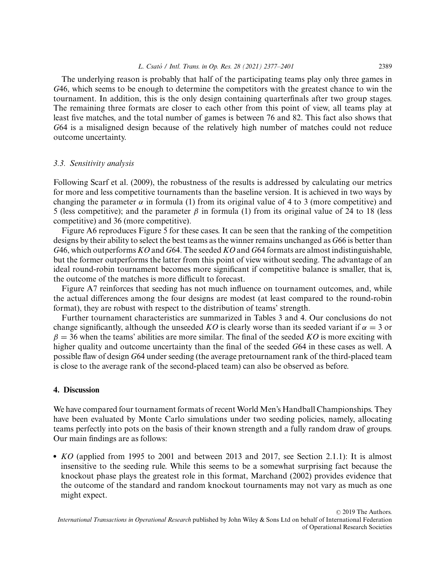The underlying reason is probably that half of the participating teams play only three games in *G*46, which seems to be enough to determine the competitors with the greatest chance to win the tournament. In addition, this is the only design containing quarterfinals after two group stages. The remaining three formats are closer to each other from this point of view, all teams play at least five matches, and the total number of games is between 76 and 82. This fact also shows that *G*64 is a misaligned design because of the relatively high number of matches could not reduce outcome uncertainty.

#### *3.3. Sensitivity analysis*

Following Scarf et al. (2009), the robustness of the results is addressed by calculating our metrics for more and less competitive tournaments than the baseline version. It is achieved in two ways by changing the parameter  $\alpha$  in formula (1) from its original value of 4 to 3 (more competitive) and 5 (less competitive); and the parameter  $\beta$  in formula (1) from its original value of 24 to 18 (less competitive) and 36 (more competitive).

Figure A6 reproduces Figure 5 for these cases. It can be seen that the ranking of the competition designs by their ability to select the best teams as the winner remains unchanged as *G*66 is better than *G*46, which outperforms *KO* and *G*64. The seeded *KO* and *G*64 formats are almost indistinguishable, but the former outperforms the latter from this point of view without seeding. The advantage of an ideal round-robin tournament becomes more significant if competitive balance is smaller, that is, the outcome of the matches is more difficult to forecast.

Figure A7 reinforces that seeding has not much influence on tournament outcomes, and, while the actual differences among the four designs are modest (at least compared to the round-robin format), they are robust with respect to the distribution of teams' strength.

Further tournament characteristics are summarized in Tables 3 and 4. Our conclusions do not change significantly, although the unseeded *KO* is clearly worse than its seeded variant if  $\alpha = 3$  or  $\beta = 36$  when the teams' abilities are more similar. The final of the seeded *KO* is more exciting with higher quality and outcome uncertainty than the final of the seeded *G*64 in these cases as well. A possible flaw of design *G*64 under seeding (the average pretournament rank of the third-placed team is close to the average rank of the second-placed team) can also be observed as before.

# **4. Discussion**

We have compared four tournament formats of recent World Men's Handball Championships. They have been evaluated by Monte Carlo simulations under two seeding policies, namely, allocating teams perfectly into pots on the basis of their known strength and a fully random draw of groups. Our main findings are as follows:

KO (applied from 1995 to 2001 and between 2013 and 2017, see Section 2.1.1): It is almost insensitive to the seeding rule. While this seems to be a somewhat surprising fact because the knockout phase plays the greatest role in this format, Marchand (2002) provides evidence that the outcome of the standard and random knockout tournaments may not vary as much as one might expect.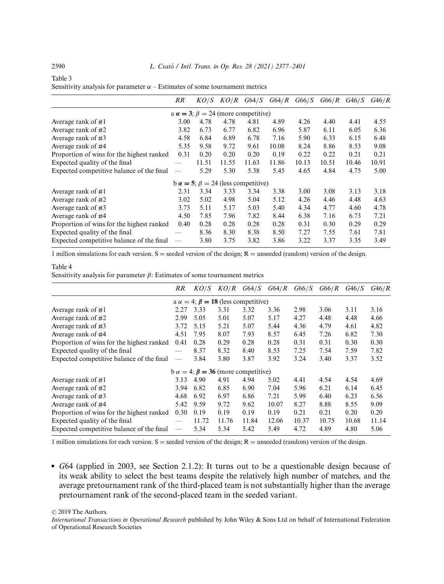#### Table 3

|  | Sensitivity analysis for parameter $\alpha$ – Estimates of some tournament metrics |  |
|--|------------------------------------------------------------------------------------|--|
|--|------------------------------------------------------------------------------------|--|

|                                           | RR.                      | KO/S  | KO/R  | G64/S                                            | G64/R | G66/S | G66/R | G46/S | G46/R |
|-------------------------------------------|--------------------------|-------|-------|--------------------------------------------------|-------|-------|-------|-------|-------|
|                                           |                          |       |       | a $\alpha = 3$ ; $\beta = 24$ (more competitive) |       |       |       |       |       |
| Average rank of $#1$                      | 3.00                     | 4.78  | 4.78  | 4.81                                             | 4.89  | 4.26  | 4.40  | 4.41  | 4.55  |
| Average rank of $#2$                      | 3.82                     | 6.73  | 6.77  | 6.82                                             | 6.96  | 5.87  | 6.11  | 6.05  | 6.36  |
| Average rank of $#3$                      | 4.58                     | 6.84  | 6.89  | 6.78                                             | 7.16  | 5.90  | 6.33  | 6.15  | 6.48  |
| Average rank of #4                        | 5.35                     | 9.58  | 9.72  | 9.61                                             | 10.08 | 8.24  | 8.86  | 8.53  | 9.08  |
| Proportion of wins for the highest ranked | 0.31                     | 0.20  | 0.20  | 0.20                                             | 0.19  | 0.22  | 0.22  | 0.21  | 0.21  |
| Expected quality of the final             |                          | 11.51 | 11.55 | 11.63                                            | 11.86 | 10.13 | 10.51 | 10.46 | 10.91 |
| Expected competitive balance of the final | $\qquad \qquad$          | 5.29  | 5.30  | 5.38                                             | 5.45  | 4.65  | 4.84  | 4.75  | 5.00  |
|                                           |                          |       |       | $b \alpha = 5$ ; $\beta = 24$ (less competitive) |       |       |       |       |       |
| Average rank of $#1$                      | 2.31                     | 3.34  | 3.33  | 3.34                                             | 3.38  | 3.00  | 3.08  | 3.13  | 3.18  |
| Average rank of $#2$                      | 3.02                     | 5.02  | 4.98  | 5.04                                             | 5.12  | 4.26  | 4.46  | 4.48  | 4.63  |
| Average rank of $#3$                      | 3.73                     | 5.11  | 5.17  | 5.03                                             | 5.40  | 4.34  | 4.77  | 4.60  | 4.78  |
| Average rank of #4                        | 4.50                     | 7.85  | 7.96  | 7.82                                             | 8.44  | 6.38  | 7.16  | 6.73  | 7.21  |
| Proportion of wins for the highest ranked | 0.40                     | 0.28  | 0.28  | 0.28                                             | 0.28  | 0.31  | 0.30  | 0.29  | 0.29  |
| Expected quality of the final             | $\overline{\phantom{0}}$ | 8.36  | 8.30  | 8.38                                             | 8.50  | 7.27  | 7.55  | 7.61  | 7.81  |
| Expected competitive balance of the final | $\equiv$                 | 3.80  | 3.75  | 3.82                                             | 3.86  | 3.22  | 3.37  | 3.35  | 3.49  |

1 million simulations for each version.  $S =$  seeded version of the design;  $R =$  unseeded (random) version of the design.

#### Table 4

Sensitivity analysis for parameter  $\beta$ : Estimates of some tournament metrics

|                                           | RR.                             | KO/S  | KO/R  | G64/S                                            | G64/R | G66/S | G66/R | G46/S | G46/R |
|-------------------------------------------|---------------------------------|-------|-------|--------------------------------------------------|-------|-------|-------|-------|-------|
|                                           |                                 |       |       | a $\alpha = 4$ ; $\beta = 18$ (less competitive) |       |       |       |       |       |
| Average rank of $#1$                      | 2.27                            | 3.33  | 3.31  | 3.32                                             | 3.36  | 2.98  | 3.06  | 3.11  | 3.16  |
| Average rank of $#2$                      | 2.99                            | 5.05  | 5.01  | 5.07                                             | 5.17  | 4.27  | 4.48  | 4.48  | 4.66  |
| Average rank of $#3$                      | 3.72                            | 5.15  | 5.21  | 5.07                                             | 5.44  | 4.36  | 4.79  | 4.61  | 4.82  |
| Average rank of #4                        | 4.51                            | 7.95  | 8.07  | 7.93                                             | 8.57  | 6.45  | 7.26  | 6.82  | 7.30  |
| Proportion of wins for the highest ranked | 0.41                            | 0.28  | 0.29  | 0.28                                             | 0.28  | 0.31  | 0.31  | 0.30  | 0.30  |
| Expected quality of the final             | $\hspace{0.1mm}-\hspace{0.1mm}$ | 8.37  | 8.32  | 8.40                                             | 8.53  | 7.25  | 7.54  | 7.59  | 7.82  |
| Expected competitive balance of the final | $\equiv$                        | 3.84  | 3.80  | 3.87                                             | 3.92  | 3.24  | 3.40  | 3.37  | 3.52  |
|                                           |                                 |       |       | $b \alpha = 4$ ; $\beta = 36$ (more competitive) |       |       |       |       |       |
| Average rank of $#1$                      | 3.13                            | 4.90  | 4.91  | 4.94                                             | 5.02  | 4.41  | 4.54  | 4.54  | 4.69  |
| Average rank of $#2$                      | 3.94                            | 6.82  | 6.85  | 6.90                                             | 7.04  | 5.96  | 6.21  | 6.14  | 6.45  |
| Average rank of $#3$                      | 4.68                            | 6.92  | 6.97  | 6.86                                             | 7.21  | 5.99  | 6.40  | 6.23  | 6.56  |
| Average rank of #4                        | 5.42                            | 9.59  | 9.72  | 9.62                                             | 10.07 | 8.27  | 8.88  | 8.55  | 9.09  |
| Proportion of wins for the highest ranked | 0.30                            | 0.19  | 0.19  | 0.19                                             | 0.19  | 0.21  | 0.21  | 0.20  | 0.20  |
| Expected quality of the final             | $\hspace{0.05cm}$               | 11.72 | 11.76 | 11.84                                            | 12.06 | 10.37 | 10.75 | 10.68 | 11.14 |
| Expected competitive balance of the final | $\overline{\phantom{m}}$        | 5.34  | 5.34  | 5.42                                             | 5.49  | 4.72  | 4.89  | 4.80  | 5.06  |

1 million simulations for each version.  $S =$  seeded version of the design;  $R =$  unseeded (random) version of the design.

- *G*64 (applied in 2003, see Section 2.1.2): It turns out to be a questionable design because of its weak ability to select the best teams despite the relatively high number of matches, and the average pretournament rank of the third-placed team is not substantially higher than the average pretournament rank of the second-placed team in the seeded variant.

<sup>C</sup> 2019 The Authors.

*International Transactions in Operational Research* published by John Wiley & Sons Ltd on behalf of International Federation of Operational Research Societies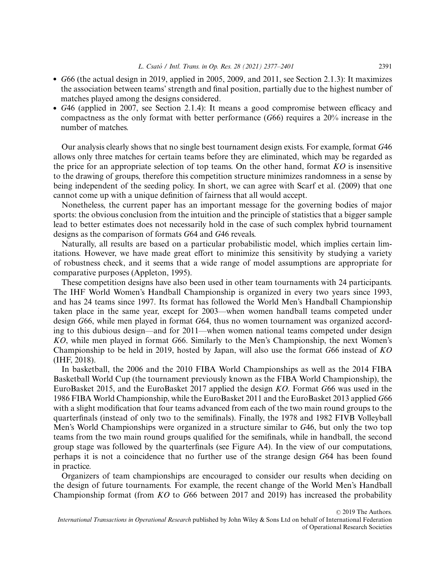- *G*66 (the actual design in 2019, applied in 2005, 2009, and 2011, see Section 2.1.3): It maximizes the association between teams' strength and final position, partially due to the highest number of matches played among the designs considered.
- *G*46 (applied in 2007, see Section 2.1.4): It means a good compromise between efficacy and compactness as the only format with better performance (*G*66) requires a 20% increase in the number of matches.

Our analysis clearly shows that no single best tournament design exists. For example, format *G*46 allows only three matches for certain teams before they are eliminated, which may be regarded as the price for an appropriate selection of top teams. On the other hand, format *KO* is insensitive to the drawing of groups, therefore this competition structure minimizes randomness in a sense by being independent of the seeding policy. In short, we can agree with Scarf et al. (2009) that one cannot come up with a unique definition of fairness that all would accept.

Nonetheless, the current paper has an important message for the governing bodies of major sports: the obvious conclusion from the intuition and the principle of statistics that a bigger sample lead to better estimates does not necessarily hold in the case of such complex hybrid tournament designs as the comparison of formats *G*64 and *G*46 reveals.

Naturally, all results are based on a particular probabilistic model, which implies certain limitations. However, we have made great effort to minimize this sensitivity by studying a variety of robustness check, and it seems that a wide range of model assumptions are appropriate for comparative purposes (Appleton, 1995).

These competition designs have also been used in other team tournaments with 24 participants. The IHF World Women's Handball Championship is organized in every two years since 1993, and has 24 teams since 1997. Its format has followed the World Men's Handball Championship taken place in the same year, except for 2003—when women handball teams competed under design *G*66, while men played in format *G*64, thus no women tournament was organized according to this dubious design—and for 2011—when women national teams competed under design *KO*, while men played in format *G*66. Similarly to the Men's Championship, the next Women's Championship to be held in 2019, hosted by Japan, will also use the format *G*66 instead of *KO* (IHF, 2018).

In basketball, the 2006 and the 2010 FIBA World Championships as well as the 2014 FIBA Basketball World Cup (the tournament previously known as the FIBA World Championship), the EuroBasket 2015, and the EuroBasket 2017 applied the design *KO*. Format *G*66 was used in the 1986 FIBA World Championship, while the EuroBasket 2011 and the EuroBasket 2013 applied *G*66 with a slight modification that four teams advanced from each of the two main round groups to the quarterfinals (instead of only two to the semifinals). Finally, the 1978 and 1982 FIVB Volleyball Men's World Championships were organized in a structure similar to *G*46, but only the two top teams from the two main round groups qualified for the semifinals, while in handball, the second group stage was followed by the quarterfinals (see Figure A4). In the view of our computations, perhaps it is not a coincidence that no further use of the strange design *G*64 has been found in practice.

Organizers of team championships are encouraged to consider our results when deciding on the design of future tournaments. For example, the recent change of the World Men's Handball Championship format (from *KO* to *G*66 between 2017 and 2019) has increased the probability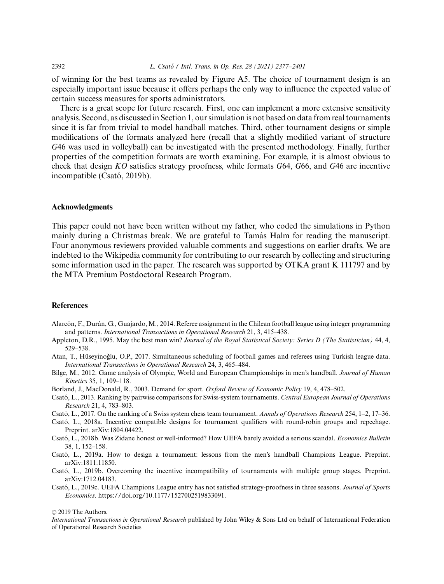of winning for the best teams as revealed by Figure A5. The choice of tournament design is an especially important issue because it offers perhaps the only way to influence the expected value of certain success measures for sports administrators.

There is a great scope for future research. First, one can implement a more extensive sensitivity analysis. Second, as discussed in Section 1, our simulation is not based on data from real tournaments since it is far from trivial to model handball matches. Third, other tournament designs or simple modifications of the formats analyzed here (recall that a slightly modified variant of structure *G*46 was used in volleyball) can be investigated with the presented methodology. Finally, further properties of the competition formats are worth examining. For example, it is almost obvious to check that design *KO* satisfies strategy proofness, while formats *G*64, *G*66, and *G*46 are incentive incompatible (Csató, 2019b).

## **Acknowledgments**

This paper could not have been written without my father, who coded the simulations in Python mainly during a Christmas break. We are grateful to Tamás Halm for reading the manuscript. Four anonymous reviewers provided valuable comments and suggestions on earlier drafts. We are indebted to the Wikipedia community for contributing to our research by collecting and structuring some information used in the paper. The research was supported by OTKA grant K 111797 and by the MTA Premium Postdoctoral Research Program.

#### **References**

- Alarcón, F., Durán, G., Guajardo, M., 2014. Referee assignment in the Chilean football league using integer programming and patterns. *International Transactions in Operational Research* 21, 3, 415–438.
- Appleton, D.R., 1995. May the best man win? *Journal of the Royal Statistical Society: Series D (The Statistician)* 44, 4, 529–538.
- Atan, T., Hüseyinoğlu, O.P., 2017. Simultaneous scheduling of football games and referees using Turkish league data. *International Transactions in Operational Research* 24, 3, 465–484.
- Bilge, M., 2012. Game analysis of Olympic, World and European Championships in men's handball. *Journal of Human Kinetics* 35, 1, 109–118.
- Borland, J., MacDonald, R., 2003. Demand for sport. *Oxford Review of Economic Policy* 19, 4, 478–502.
- Csató, L., 2013. Ranking by pairwise comparisons for Swiss-system tournaments. *Central European Journal of Operations Research* 21, 4, 783–803.
- Csató, L., 2017. On the ranking of a Swiss system chess team tournament. Annals of Operations Research 254, 1-2, 17-36.
- Csató, L., 2018a. Incentive compatible designs for tournament qualifiers with round-robin groups and repechage. Preprint. arXiv:1804.04422.
- Csató, L., 2018b. Was Zidane honest or well-informed? How UEFA barely avoided a serious scandal. *Economics Bulletin* 38, 1, 152–158.
- Csató, L., 2019a. How to design a tournament: lessons from the men's handball Champions League. Preprint. arXiv:1811.11850.
- Csató, L., 2019b. Overcoming the incentive incompatibility of tournaments with multiple group stages. Preprint. arXiv:1712.04183.
- Csato, L., 2019c. UEFA Champions League entry has not satisfied strategy-proofness in three seasons. ´ *Journal of Sports Economics*. https://doi.org/10.1177/1527002519833091.

*International Transactions in Operational Research* published by John Wiley & Sons Ltd on behalf of International Federation of Operational Research Societies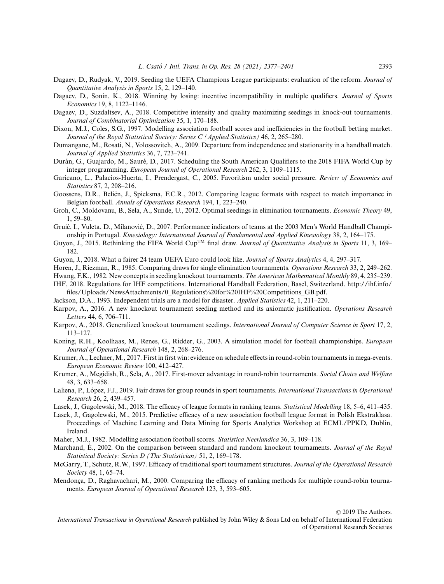- Dagaev, D., Rudyak, V., 2019. Seeding the UEFA Champions League participants: evaluation of the reform. *Journal of Quantitative Analysis in Sports* 15, 2, 129–140.
- Dagaev, D., Sonin, K., 2018. Winning by losing: incentive incompatibility in multiple qualifiers. *Journal of Sports Economics* 19, 8, 1122–1146.
- Dagaev, D., Suzdaltsev, A., 2018. Competitive intensity and quality maximizing seedings in knock-out tournaments. *Journal of Combinatorial Optimization* 35, 1, 170–188.
- Dixon, M.J., Coles, S.G., 1997. Modelling association football scores and inefficiencies in the football betting market. *Journal of the Royal Statistical Society: Series C (Applied Statistics)* 46, 2, 265–280.
- Dumangane, M., Rosati, N., Volossovitch, A., 2009. Departure from independence and stationarity in a handball match. *Journal of Applied Statistics* 36, 7, 723–741.
- Durán, G., Guajardo, M., Sauré, D., 2017. Scheduling the South American Qualifiers to the 2018 FIFA World Cup by integer programming. *European Journal of Operational Research* 262, 3, 1109–1115.
- Garicano, L., Palacios-Huerta, I., Prendergast, C., 2005. Favoritism under social pressure. *Review of Economics and Statistics* 87, 2, 208–216.
- Goossens, D.R., Beliën, J., Spieksma, F.C.R., 2012. Comparing league formats with respect to match importance in Belgian football. *Annals of Operations Research* 194, 1, 223–240.
- Groh, C., Moldovanu, B., Sela, A., Sunde, U., 2012. Optimal seedings in elimination tournaments. *Economic Theory* 49, 1, 59–80.
- Gruić, I., Vuleta, D., Milanović, D., 2007. Performance indicators of teams at the 2003 Men's World Handball Championship in Portugal. *Kinesiology: International Journal of Fundamental and Applied Kinesiology* 38, 2, 164–175.
- Guyon, J., 2015. Rethinking the FIFA World CupTM final draw. *Journal of Quantitative Analysis in Sports* 11, 3, 169– 182.
- Guyon, J., 2018. What a fairer 24 team UEFA Euro could look like. *Journal of Sports Analytics* 4, 4, 297–317.
- Horen, J., Riezman, R., 1985. Comparing draws for single elimination tournaments. *Operations Research* 33, 2, 249–262.
- Hwang, F.K., 1982. New concepts in seeding knockout tournaments. *The American Mathematical Monthly* 89, 4, 235–239.
- IHF, 2018. Regulations for IHF competitions. International Handball Federation, Basel, Switzerland. http://ihf.info/ files/Uploads/NewsAttachments/0\_Regulations%20for%20IHF%20Competitions\_GB.pdf.
- Jackson, D.A., 1993. Independent trials are a model for disaster. *Applied Statistics* 42, 1, 211–220.
- Karpov, A., 2016. A new knockout tournament seeding method and its axiomatic justification. *Operations Research Letters* 44, 6, 706–711.
- Karpov, A., 2018. Generalized knockout tournament seedings. *International Journal of Computer Science in Sport* 17, 2, 113–127.
- Koning, R.H., Koolhaas, M., Renes, G., Ridder, G., 2003. A simulation model for football championships. *European Journal of Operational Research* 148, 2, 268–276.
- Krumer, A., Lechner, M., 2017. First in first win: evidence on schedule effects in round-robin tournaments in mega-events. *European Economic Review* 100, 412–427.
- Krumer, A., Megidish, R., Sela, A., 2017. First-mover advantage in round-robin tournaments. *Social Choice and Welfare* 48, 3, 633–658.
- Laliena, P., López, F.J., 2019. Fair draws for group rounds in sport tournaments. *International Transactions in Operational Research* 26, 2, 439–457.
- Lasek, J., Gagolewski, M., 2018. The efficacy of league formats in ranking teams. *Statistical Modelling* 18, 5–6, 411–435.
- Lasek, J., Gagolewski, M., 2015. Predictive efficacy of a new association football league format in Polish Ekstraklasa. Proceedings of Machine Learning and Data Mining for Sports Analytics Workshop at ECML/PPKD, Dublin, Ireland.
- Maher, M.J., 1982. Modelling association football scores. *Statistica Neerlandica* 36, 3, 109–118.
- Marchand, E., 2002. On the comparison between standard and random knockout tournaments. *Journal of the Royal Statistical Society: Series D (The Statistician)* 51, 2, 169–178.
- McGarry, T., Schutz, R.W., 1997. Efficacy of traditional sport tournament structures. *Journal of the Operational Research Society* 48, 1, 65–74.
- Mendonça, D., Raghavachari, M., 2000. Comparing the efficacy of ranking methods for multiple round-robin tournaments. *European Journal of Operational Research* 123, 3, 593–605.

<sup>C</sup> 2019 The Authors. *International Transactions in Operational Research* published by John Wiley & Sons Ltd on behalf of International Federation of Operational Research Societies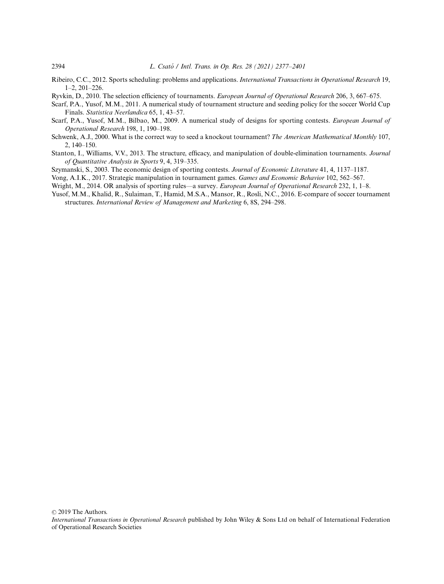- Ribeiro, C.C., 2012. Sports scheduling: problems and applications. *International Transactions in Operational Research* 19, 1–2, 201–226.
- Ryvkin, D., 2010. The selection efficiency of tournaments. *European Journal of Operational Research* 206, 3, 667–675.
- Scarf, P.A., Yusof, M.M., 2011. A numerical study of tournament structure and seeding policy for the soccer World Cup Finals. *Statistica Neerlandica* 65, 1, 43–57.
- Scarf, P.A., Yusof, M.M., Bilbao, M., 2009. A numerical study of designs for sporting contests. *European Journal of Operational Research* 198, 1, 190–198.
- Schwenk, A.J., 2000. What is the correct way to seed a knockout tournament? *The American Mathematical Monthly* 107, 2, 140–150.
- Stanton, I., Williams, V.V., 2013. The structure, efficacy, and manipulation of double-elimination tournaments. *Journal of Quantitative Analysis in Sports* 9, 4, 319–335.

Szymanski, S., 2003. The economic design of sporting contests. *Journal of Economic Literature* 41, 4, 1137–1187.

- Vong, A.I.K., 2017. Strategic manipulation in tournament games. *Games and Economic Behavior* 102, 562–567.
- Wright, M., 2014. OR analysis of sporting rules—a survey. *European Journal of Operational Research* 232, 1, 1–8.
- Yusof, M.M., Khalid, R., Sulaiman, T., Hamid, M.S.A., Mansor, R., Rosli, N.C., 2016. E-compare of soccer tournament structures. *International Review of Management and Marketing* 6, 8S, 294–298.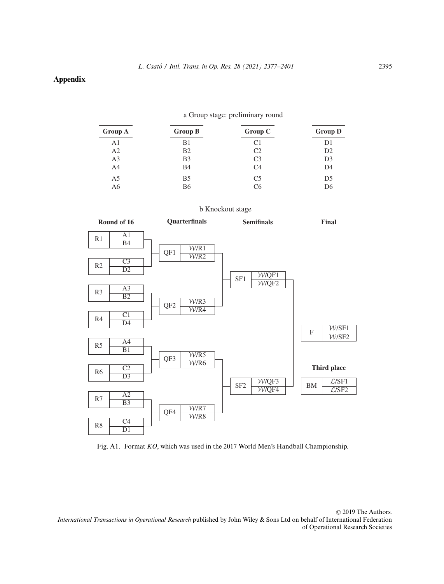# **Appendix**

|  |  |  | a Group stage: preliminary round |  |
|--|--|--|----------------------------------|--|
|--|--|--|----------------------------------|--|

| Group A        | Group B        | Group C        | <b>Group D</b> |
|----------------|----------------|----------------|----------------|
| A1             | B1             | C1             | D1             |
| A2             | B <sub>2</sub> | C <sub>2</sub> | D2             |
| A <sub>3</sub> | B <sub>3</sub> | C <sub>3</sub> | D <sub>3</sub> |
| A4             | <b>B4</b>      | C <sub>4</sub> | D <sub>4</sub> |
| A5             | B <sub>5</sub> | C <sub>5</sub> | D <sub>5</sub> |
| A6             | <b>B6</b>      | C <sub>6</sub> | D <sub>6</sub> |

## b Knockout stage



Fig. A1. Format *KO*, which was used in the 2017 World Men's Handball Championship.

© 2019 The Authors. *International Transactions in Operational Research* published by John Wiley & Sons Ltd on behalf of International Federation of Operational Research Societies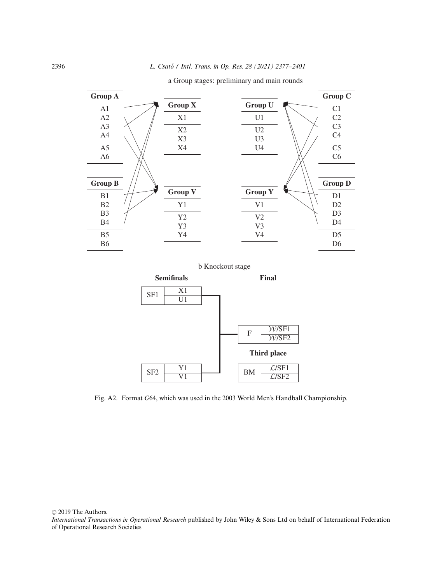a Group stages: preliminary and main rounds



b Knockout stage



Fig. A2. Format *G*64, which was used in the 2003 World Men's Handball Championship.

© 2019 The Authors. *International Transactions in Operational Research* published by John Wiley & Sons Ltd on behalf of International Federation of Operational Research Societies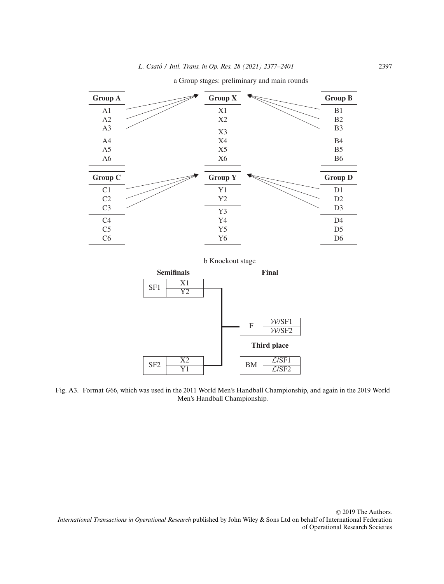

a Group stages: preliminary and main rounds

Fig. A3. Format *G*66, which was used in the 2011 World Men's Handball Championship, and again in the 2019 World Men's Handball Championship.

**Third place**

BM *<sup>L</sup>*/SF1

*L*/SF2

 $SF2$   $X2$ 

Y1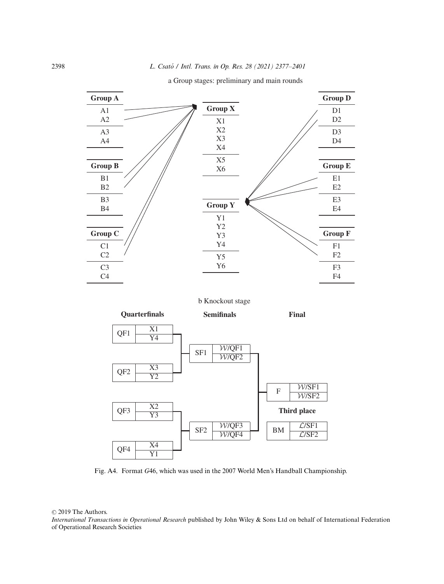



Fig. A4. Format *G*46, which was used in the 2007 World Men's Handball Championship.

© 2019 The Authors. *International Transactions in Operational Research* published by John Wiley & Sons Ltd on behalf of International Federation of Operational Research Societies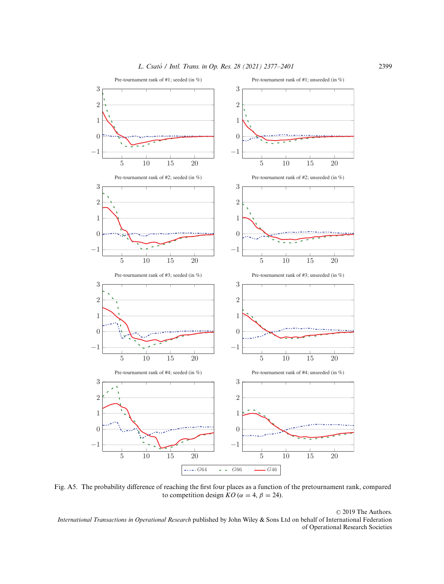

Fig. A5. The probability difference of reaching the first four places as a function of the pretournament rank, compared to competition design  $KO$  ( $\alpha = 4$ ,  $\beta = 24$ ).

© 2019 The Authors.

*International Transactions in Operational Research* published by John Wiley & Sons Ltd on behalf of International Federation of Operational Research Societies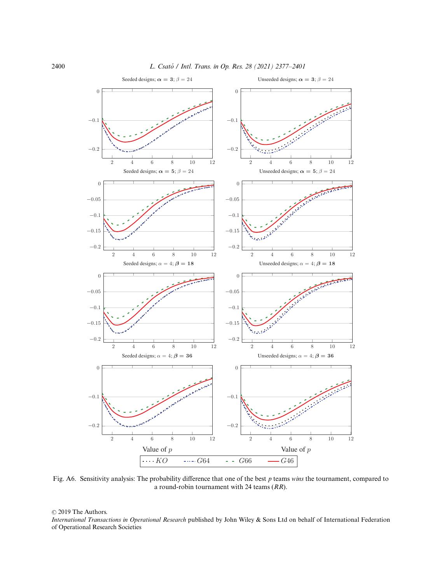

Fig. A6. Sensitivity analysis: The probability difference that one of the best *p* teams *wins* the tournament, compared to a round-robin tournament with 24 teams (*RR*).

© 2019 The Authors.

*International Transactions in Operational Research* published by John Wiley & Sons Ltd on behalf of International Federation of Operational Research Societies